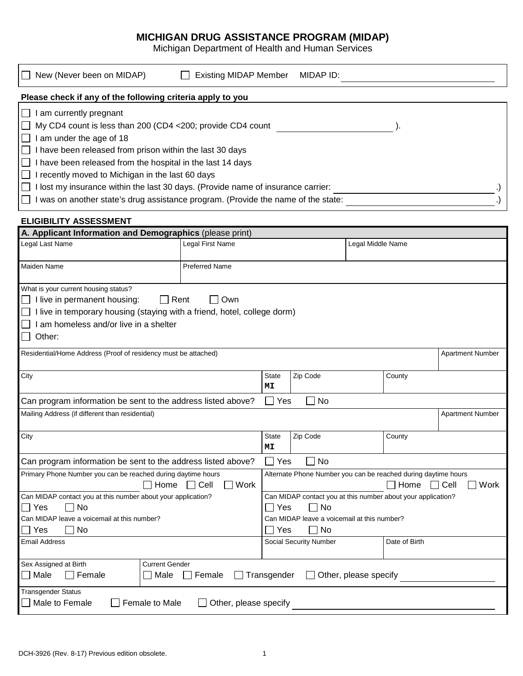## **MICHIGAN DRUG ASSISTANCE PROGRAM (MIDAP)**

Michigan Department of Health and Human Services

| New (Never been on MIDAP)                                                                                                                                                                                                                                                                                                              | <b>Existing MIDAP Member</b>            |                    | MIDAP ID:              |                       |               |                         |  |  |
|----------------------------------------------------------------------------------------------------------------------------------------------------------------------------------------------------------------------------------------------------------------------------------------------------------------------------------------|-----------------------------------------|--------------------|------------------------|-----------------------|---------------|-------------------------|--|--|
| Please check if any of the following criteria apply to you                                                                                                                                                                                                                                                                             |                                         |                    |                        |                       |               |                         |  |  |
| I am currently pregnant<br>My CD4 count is less than 200 (CD4 <200; provide CD4 count<br>I am under the age of 18<br>$\Box$ I have been released from prison within the last 30 days<br>I have been released from the hospital in the last 14 days                                                                                     |                                         |                    |                        |                       |               |                         |  |  |
| I recently moved to Michigan in the last 60 days<br>I lost my insurance within the last 30 days. (Provide name of insurance carrier:<br>$\mathsf{L}$                                                                                                                                                                                   |                                         |                    |                        |                       |               |                         |  |  |
| I was on another state's drug assistance program. (Provide the name of the state:                                                                                                                                                                                                                                                      |                                         |                    |                        |                       |               |                         |  |  |
| <b>ELIGIBILITY ASSESSMENT</b>                                                                                                                                                                                                                                                                                                          |                                         |                    |                        |                       |               |                         |  |  |
| A. Applicant Information and Demographics (please print)                                                                                                                                                                                                                                                                               |                                         |                    |                        |                       |               |                         |  |  |
| Legal Last Name                                                                                                                                                                                                                                                                                                                        | Legal First Name                        |                    |                        | Legal Middle Name     |               |                         |  |  |
| Maiden Name                                                                                                                                                                                                                                                                                                                            | <b>Preferred Name</b>                   |                    |                        |                       |               |                         |  |  |
| What is your current housing status?<br>$\Box$ I live in permanent housing:<br>I live in temporary housing (staying with a friend, hotel, college dorm)<br>I am homeless and/or live in a shelter<br>Other:<br>$\mathsf{L}$<br>Residential/Home Address (Proof of residency must be attached)                                          | Rent<br>Own                             |                    |                        |                       |               | <b>Apartment Number</b> |  |  |
|                                                                                                                                                                                                                                                                                                                                        |                                         |                    |                        |                       |               |                         |  |  |
| City                                                                                                                                                                                                                                                                                                                                   |                                         | <b>State</b><br>MΙ | Zip Code               |                       | County        |                         |  |  |
| Can program information be sent to the address listed above?                                                                                                                                                                                                                                                                           |                                         | $\Box$<br>Yes      | No                     |                       |               |                         |  |  |
| Mailing Address (if different than residential)                                                                                                                                                                                                                                                                                        |                                         |                    |                        |                       |               | <b>Apartment Number</b> |  |  |
| City                                                                                                                                                                                                                                                                                                                                   |                                         | State<br>МT        | Zip Code               |                       | County        |                         |  |  |
| Yes<br>No<br>Can program information be sent to the address listed above?                                                                                                                                                                                                                                                              |                                         |                    |                        |                       |               |                         |  |  |
| Primary Phone Number you can be reached during daytime hours<br>Alternate Phone Number you can be reached during daytime hours<br>Work<br>Home<br>$\Box$ Cell<br>$\exists$ Home<br>$\Box$ Cell<br>Work<br>Can MIDAP contact you at this number about your application?<br>Can MIDAP contact you at this number about your application? |                                         |                    |                        |                       |               |                         |  |  |
| ∃ No<br>Yes<br>No<br>∐ Yes<br>Can MIDAP leave a voicemail at this number?<br>Can MIDAP leave a voicemail at this number?<br>No<br>No<br>Yes<br>Yes                                                                                                                                                                                     |                                         |                    |                        |                       |               |                         |  |  |
| <b>Email Address</b>                                                                                                                                                                                                                                                                                                                   |                                         |                    | Social Security Number |                       | Date of Birth |                         |  |  |
| Sex Assigned at Birth<br>Male<br>Female                                                                                                                                                                                                                                                                                                | <b>Current Gender</b><br>Male<br>Female | Transgender        |                        | Other, please specify |               |                         |  |  |
| Transgender Status<br>Male to Female<br>Female to Male                                                                                                                                                                                                                                                                                 | Other, please specify                   |                    |                        |                       |               |                         |  |  |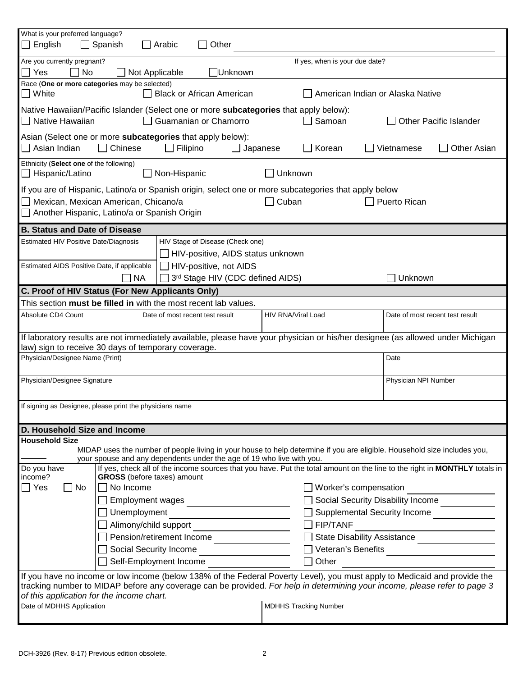| What is your preferred language?<br>English                                                                                                                                                                       | $\Box$ Spanish                                                                                                                                                                        | Arabic          | Other                                   |                    |                                |                                                                                                                          |                                   |  |
|-------------------------------------------------------------------------------------------------------------------------------------------------------------------------------------------------------------------|---------------------------------------------------------------------------------------------------------------------------------------------------------------------------------------|-----------------|-----------------------------------------|--------------------|--------------------------------|--------------------------------------------------------------------------------------------------------------------------|-----------------------------------|--|
| Are you currently pregnant?                                                                                                                                                                                       |                                                                                                                                                                                       |                 |                                         |                    | If yes, when is your due date? |                                                                                                                          |                                   |  |
| Yes<br>  No                                                                                                                                                                                                       |                                                                                                                                                                                       | Not Applicable  | Unknown                                 |                    |                                |                                                                                                                          |                                   |  |
| Race (One or more categories may be selected)<br>$\square$ White                                                                                                                                                  |                                                                                                                                                                                       |                 | <b>Black or African American</b>        |                    |                                | American Indian or Alaska Native                                                                                         |                                   |  |
| Native Hawaiian/Pacific Islander (Select one or more subcategories that apply below):<br>Native Hawaiian                                                                                                          |                                                                                                                                                                                       |                 | Guamanian or Chamorro                   |                    | Samoan                         |                                                                                                                          | <b>Other Pacific Islander</b>     |  |
|                                                                                                                                                                                                                   |                                                                                                                                                                                       |                 |                                         |                    |                                |                                                                                                                          |                                   |  |
| Asian (Select one or more subcategories that apply below):<br>Asian Indian                                                                                                                                        | $\Box$ Chinese                                                                                                                                                                        | $\Box$ Filipino |                                         | Japanese           | Korean                         | Vietnamese                                                                                                               | <b>Other Asian</b>                |  |
| Ethnicity (Select one of the following)<br>Hispanic/Latino<br>$\perp$                                                                                                                                             |                                                                                                                                                                                       | Non-Hispanic    |                                         | Unknown            |                                |                                                                                                                          |                                   |  |
| If you are of Hispanic, Latino/a or Spanish origin, select one or more subcategories that apply below                                                                                                             |                                                                                                                                                                                       |                 |                                         |                    |                                |                                                                                                                          |                                   |  |
| Mexican, Mexican American, Chicano/a                                                                                                                                                                              |                                                                                                                                                                                       |                 |                                         | Cuban              |                                | Puerto Rican                                                                                                             |                                   |  |
| Another Hispanic, Latino/a or Spanish Origin                                                                                                                                                                      |                                                                                                                                                                                       |                 |                                         |                    |                                |                                                                                                                          |                                   |  |
| <b>B. Status and Date of Disease</b>                                                                                                                                                                              |                                                                                                                                                                                       |                 |                                         |                    |                                |                                                                                                                          |                                   |  |
| Estimated HIV Positive Date/Diagnosis                                                                                                                                                                             |                                                                                                                                                                                       |                 | HIV Stage of Disease (Check one)        |                    |                                |                                                                                                                          |                                   |  |
|                                                                                                                                                                                                                   |                                                                                                                                                                                       |                 | HIV-positive, AIDS status unknown       |                    |                                |                                                                                                                          |                                   |  |
| Estimated AIDS Positive Date, if applicable                                                                                                                                                                       |                                                                                                                                                                                       |                 | HIV-positive, not AIDS                  |                    |                                |                                                                                                                          |                                   |  |
|                                                                                                                                                                                                                   | <b>NA</b>                                                                                                                                                                             |                 | 3rd Stage HIV (CDC defined AIDS)        |                    |                                | Unknown                                                                                                                  |                                   |  |
| C. Proof of HIV Status (For New Applicants Only)                                                                                                                                                                  |                                                                                                                                                                                       |                 |                                         |                    |                                |                                                                                                                          |                                   |  |
| This section must be filled in with the most recent lab values.                                                                                                                                                   |                                                                                                                                                                                       |                 |                                         |                    |                                |                                                                                                                          |                                   |  |
| Absolute CD4 Count                                                                                                                                                                                                |                                                                                                                                                                                       |                 | Date of most recent test result         | HIV RNA/Viral Load |                                |                                                                                                                          | Date of most recent test result   |  |
|                                                                                                                                                                                                                   |                                                                                                                                                                                       |                 |                                         |                    |                                |                                                                                                                          |                                   |  |
|                                                                                                                                                                                                                   | If laboratory results are not immediately available, please have your physician or his/her designee (as allowed under Michigan<br>law) sign to receive 30 days of temporary coverage. |                 |                                         |                    |                                |                                                                                                                          |                                   |  |
| Physician/Designee Name (Print)                                                                                                                                                                                   |                                                                                                                                                                                       |                 |                                         |                    |                                | Date                                                                                                                     |                                   |  |
| Physician/Designee Signature                                                                                                                                                                                      |                                                                                                                                                                                       |                 |                                         |                    |                                | Physician NPI Number                                                                                                     |                                   |  |
| If signing as Designee, please print the physicians name                                                                                                                                                          |                                                                                                                                                                                       |                 |                                         |                    |                                |                                                                                                                          |                                   |  |
|                                                                                                                                                                                                                   |                                                                                                                                                                                       |                 |                                         |                    |                                |                                                                                                                          |                                   |  |
| D. Household Size and Income                                                                                                                                                                                      |                                                                                                                                                                                       |                 |                                         |                    |                                |                                                                                                                          |                                   |  |
| <b>Household Size</b>                                                                                                                                                                                             |                                                                                                                                                                                       |                 |                                         |                    |                                | MIDAP uses the number of people living in your house to help determine if you are eligible. Household size includes you, |                                   |  |
| your spouse and any dependents under the age of 19 who live with you.<br>If yes, check all of the income sources that you have. Put the total amount on the line to the right in MONTHLY totals in<br>Do you have |                                                                                                                                                                                       |                 |                                         |                    |                                |                                                                                                                          |                                   |  |
| income?                                                                                                                                                                                                           | <b>GROSS</b> (before taxes) amount                                                                                                                                                    |                 |                                         |                    |                                |                                                                                                                          |                                   |  |
| Yes<br>  No                                                                                                                                                                                                       | $\Box$ No Income                                                                                                                                                                      |                 |                                         |                    |                                | Worker's compensation                                                                                                    |                                   |  |
|                                                                                                                                                                                                                   |                                                                                                                                                                                       |                 |                                         |                    |                                |                                                                                                                          | Social Security Disability Income |  |
|                                                                                                                                                                                                                   | $\Box$ Unemployment                                                                                                                                                                   |                 |                                         |                    |                                |                                                                                                                          | □ Supplemental Security Income    |  |
|                                                                                                                                                                                                                   |                                                                                                                                                                                       |                 |                                         |                    | $\Box$ FIP/TANF                |                                                                                                                          |                                   |  |
|                                                                                                                                                                                                                   |                                                                                                                                                                                       |                 | Pension/retirement Income               |                    |                                |                                                                                                                          | State Disability Assistance       |  |
| Social Security Income                                                                                                                                                                                            |                                                                                                                                                                                       |                 | Veteran's Benefits<br><u>University</u> |                    |                                |                                                                                                                          |                                   |  |
| Self-Employment Income<br>Other                                                                                                                                                                                   |                                                                                                                                                                                       |                 |                                         |                    |                                |                                                                                                                          |                                   |  |
| If you have no income or low income (below 138% of the Federal Poverty Level), you must apply to Medicaid and provide the                                                                                         |                                                                                                                                                                                       |                 |                                         |                    |                                |                                                                                                                          |                                   |  |
| tracking number to MIDAP before any coverage can be provided. For help in determining your income, please refer to page 3<br>of this application for the income chart.                                            |                                                                                                                                                                                       |                 |                                         |                    |                                |                                                                                                                          |                                   |  |
| Date of MDHHS Application                                                                                                                                                                                         |                                                                                                                                                                                       |                 |                                         |                    | <b>MDHHS Tracking Number</b>   |                                                                                                                          |                                   |  |
|                                                                                                                                                                                                                   |                                                                                                                                                                                       |                 |                                         |                    |                                |                                                                                                                          |                                   |  |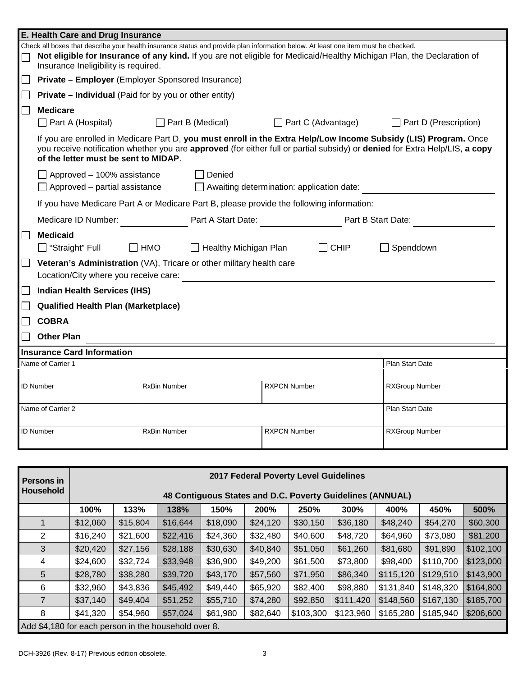| E. Health Care and Drug Insurance                                                                                                                              |                     |                                                  |                     |                    |                                                                                                                                                                                                                                                 |  |  |  |
|----------------------------------------------------------------------------------------------------------------------------------------------------------------|---------------------|--------------------------------------------------|---------------------|--------------------|-------------------------------------------------------------------------------------------------------------------------------------------------------------------------------------------------------------------------------------------------|--|--|--|
| Check all boxes that describe your health insurance status and provide plan information below. At least one item must be checked.                              |                     |                                                  |                     |                    |                                                                                                                                                                                                                                                 |  |  |  |
| Not eligible for Insurance of any kind. If you are not eligible for Medicaid/Healthy Michigan Plan, the Declaration of<br>Insurance Ineligibility is required. |                     |                                                  |                     |                    |                                                                                                                                                                                                                                                 |  |  |  |
| Private - Employer (Employer Sponsored Insurance)                                                                                                              |                     |                                                  |                     |                    |                                                                                                                                                                                                                                                 |  |  |  |
| <b>Private - Individual</b> (Paid for by you or other entity)                                                                                                  |                     |                                                  |                     |                    |                                                                                                                                                                                                                                                 |  |  |  |
| <b>Medicare</b>                                                                                                                                                |                     |                                                  |                     |                    |                                                                                                                                                                                                                                                 |  |  |  |
| $\Box$ Part A (Hospital)                                                                                                                                       |                     | $\Box$ Part B (Medical)                          |                     | Part C (Advantage) | Part D (Prescription)                                                                                                                                                                                                                           |  |  |  |
| of the letter must be sent to MIDAP.                                                                                                                           |                     |                                                  |                     |                    | If you are enrolled in Medicare Part D, you must enroll in the Extra Help/Low Income Subsidy (LIS) Program. Once<br>you receive notification whether you are approved (for either full or partial subsidy) or denied for Extra Help/LIS, a copy |  |  |  |
| $\Box$ Approved – 100% assistance                                                                                                                              |                     | Denied                                           |                     |                    |                                                                                                                                                                                                                                                 |  |  |  |
| $\Box$ Approved – partial assistance                                                                                                                           |                     | $\Box$ Awaiting determination: application date: |                     |                    |                                                                                                                                                                                                                                                 |  |  |  |
| If you have Medicare Part A or Medicare Part B, please provide the following information:                                                                      |                     |                                                  |                     |                    |                                                                                                                                                                                                                                                 |  |  |  |
| Medicare ID Number:                                                                                                                                            |                     | Part A Start Date:                               |                     |                    | Part B Start Date:                                                                                                                                                                                                                              |  |  |  |
| <b>Medicaid</b><br>$\Box$ "Straight" Full                                                                                                                      | $\Box$ HMO          | Healthy Michigan Plan                            |                     | <b>CHIP</b>        | Spenddown                                                                                                                                                                                                                                       |  |  |  |
| Veteran's Administration (VA), Tricare or other military health care<br>Location/City where you receive care:                                                  |                     |                                                  |                     |                    |                                                                                                                                                                                                                                                 |  |  |  |
| <b>Indian Health Services (IHS)</b>                                                                                                                            |                     |                                                  |                     |                    |                                                                                                                                                                                                                                                 |  |  |  |
| <b>Qualified Health Plan (Marketplace)</b>                                                                                                                     |                     |                                                  |                     |                    |                                                                                                                                                                                                                                                 |  |  |  |
| <b>COBRA</b>                                                                                                                                                   |                     |                                                  |                     |                    |                                                                                                                                                                                                                                                 |  |  |  |
| <b>Other Plan</b>                                                                                                                                              |                     |                                                  |                     |                    |                                                                                                                                                                                                                                                 |  |  |  |
| <b>Insurance Card Information</b>                                                                                                                              |                     |                                                  |                     |                    |                                                                                                                                                                                                                                                 |  |  |  |
| Name of Carrier 1                                                                                                                                              |                     |                                                  |                     |                    | <b>Plan Start Date</b>                                                                                                                                                                                                                          |  |  |  |
| <b>ID Number</b>                                                                                                                                               | <b>RxBin Number</b> |                                                  | <b>RXPCN Number</b> |                    | RXGroup Number                                                                                                                                                                                                                                  |  |  |  |
| Name of Carrier 2                                                                                                                                              |                     |                                                  |                     |                    | Plan Start Date                                                                                                                                                                                                                                 |  |  |  |
| <b>ID Number</b>                                                                                                                                               | <b>RxBin Number</b> |                                                  | <b>RXPCN Number</b> |                    | <b>RXGroup Number</b>                                                                                                                                                                                                                           |  |  |  |
|                                                                                                                                                                |                     |                                                  |                     |                    |                                                                                                                                                                                                                                                 |  |  |  |
| 2017 Federal Poverty Level Guidelines<br><b>Persons in</b><br>Household<br>48 Contiguous States and D.C. Poverty Guidelines (ANNUAL)                           |                     |                                                  |                     |                    |                                                                                                                                                                                                                                                 |  |  |  |

|                                                      | 100%     | 133%     | 138%     | 150%     | 200%     | 250%      | 300%      | 400%      | 450%      | 500%      |
|------------------------------------------------------|----------|----------|----------|----------|----------|-----------|-----------|-----------|-----------|-----------|
|                                                      | \$12,060 | \$15,804 | \$16,644 | \$18,090 | \$24,120 | \$30,150  | \$36,180  | \$48,240  | \$54,270  | \$60,300  |
| 2                                                    | \$16,240 | \$21,600 | \$22,416 | \$24,360 | \$32,480 | \$40,600  | \$48,720  | \$64,960  | \$73,080  | \$81,200  |
| 3                                                    | \$20,420 | \$27,156 | \$28,188 | \$30,630 | \$40,840 | \$51,050  | \$61,260  | \$81,680  | \$91,890  | \$102,100 |
| 4                                                    | \$24,600 | \$32,724 | \$33,948 | \$36,900 | \$49,200 | \$61,500  | \$73,800  | \$98,400  | \$110,700 | \$123,000 |
| 5                                                    | \$28,780 | \$38,280 | \$39,720 | \$43,170 | \$57,560 | \$71,950  | \$86,340  | \$115,120 | \$129,510 | \$143,900 |
| 6                                                    | \$32,960 | \$43,836 | \$45,492 | \$49,440 | \$65,920 | \$82,400  | \$98,880  | \$131,840 | \$148,320 | \$164,800 |
|                                                      | \$37,140 | \$49,404 | \$51,252 | \$55,710 | \$74,280 | \$92,850  | \$111,420 | \$148,560 | \$167,130 | \$185,700 |
| 8                                                    | \$41,320 | \$54,960 | \$57,024 | \$61,980 | \$82,640 | \$103,300 | \$123,960 | \$165,280 | \$185,940 | \$206,600 |
| Add \$4,180 for each person in the household over 8. |          |          |          |          |          |           |           |           |           |           |